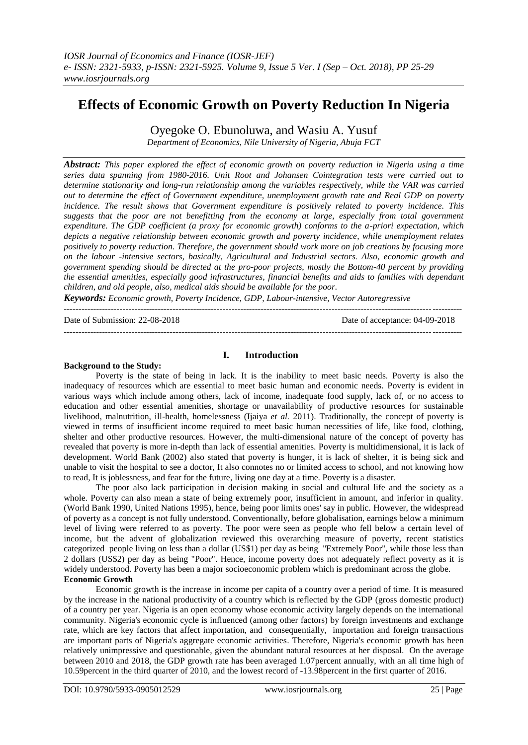# **Effects of Economic Growth on Poverty Reduction In Nigeria**

Oyegoke O. Ebunoluwa, and Wasiu A. Yusuf

*Department of Economics, Nile University of Nigeria, Abuja FCT*

*Abstract: This paper explored the effect of economic growth on poverty reduction in Nigeria using a time series data spanning from 1980-2016. Unit Root and Johansen Cointegration tests were carried out to determine stationarity and long-run relationship among the variables respectively, while the VAR was carried out to determine the effect of Government expenditure, unemployment growth rate and Real GDP on poverty incidence. The result shows that Government expenditure is positively related to poverty incidence. This suggests that the poor are not benefitting from the economy at large, especially from total government expenditure. The GDP coefficient (a proxy for economic growth) conforms to the a-priori expectation, which depicts a negative relationship between economic growth and poverty incidence, while unemployment relates positively to poverty reduction. Therefore, the government should work more on job creations by focusing more on the labour -intensive sectors, basically, Agricultural and Industrial sectors. Also, economic growth and government spending should be directed at the pro-poor projects, mostly the Bottom-40 percent by providing the essential amenities, especially good infrastructures, financial benefits and aids to families with dependant children, and old people, also, medical aids should be available for the poor.*

*Keywords: Economic growth, Poverty Incidence, GDP, Labour-intensive, Vector Autoregressive* ---------------------------------------------------------------------------------------------------------------------------------------

Date of Submission: 22-08-2018 Date of acceptance: 04-09-2018

---------------------------------------------------------------------------------------------------------------------------------------

# **I. Introduction**

### **Background to the Study:**

Poverty is the state of being in lack. It is the inability to meet basic needs. Poverty is also the inadequacy of resources which are essential to meet basic human and economic needs. Poverty is evident in various ways which include among others, lack of income, inadequate food supply, lack of, or no access to education and other essential amenities, shortage or unavailability of productive resources for sustainable livelihood, malnutrition, ill-health, homelessness (Ijaiya *et al.* 2011). Traditionally, the concept of poverty is viewed in terms of insufficient income required to meet basic human necessities of life, like food, clothing, shelter and other productive resources. However, the multi-dimensional nature of the concept of poverty has revealed that poverty is more in-depth than lack of essential amenities. Poverty is multidimensional, it is lack of development. World Bank (2002) also stated that poverty is hunger, it is lack of shelter, it is being sick and unable to visit the hospital to see a doctor, It also connotes no or limited access to school, and not knowing how to read, It is joblessness, and fear for the future, living one day at a time. Poverty is a disaster.

The poor also lack participation in decision making in social and cultural life and the society as a whole. Poverty can also mean a state of being extremely poor, insufficient in amount, and inferior in quality. (World Bank 1990, United Nations 1995), hence, being poor limits ones' say in public. However, the widespread of poverty as a concept is not fully understood. Conventionally, before globalisation, earnings below a minimum level of living were referred to as poverty. The poor were seen as people who fell below a certain level of income, but the advent of globalization reviewed this overarching measure of poverty, recent statistics categorized people living on less than a dollar (US\$1) per day as being ''Extremely Poor'', while those less than 2 dollars (US\$2) per day as being "Poor". Hence, income poverty does not adequately reflect poverty as it is widely understood. Poverty has been a major socioeconomic problem which is predominant across the globe. **Economic Growth**

Economic growth is the increase in income per capita of a country over a period of time. It is measured by the increase in the national productivity of a country which is reflected by the GDP (gross domestic product) of a country per year. Nigeria is an open economy whose economic activity largely depends on the international community. Nigeria's economic cycle is influenced (among other factors) by foreign investments and exchange rate, which are key factors that affect importation, and consequentially, importation and foreign transactions are important parts of Nigeria's aggregate economic activities. Therefore, Nigeria's economic growth has been relatively unimpressive and questionable, given the abundant natural resources at her disposal. On the average between 2010 and 2018, the GDP growth rate has been averaged 1.07percent annually, with an all time high of 10.59percent in the third quarter of 2010, and the lowest record of -13.98percent in the first quarter of 2016.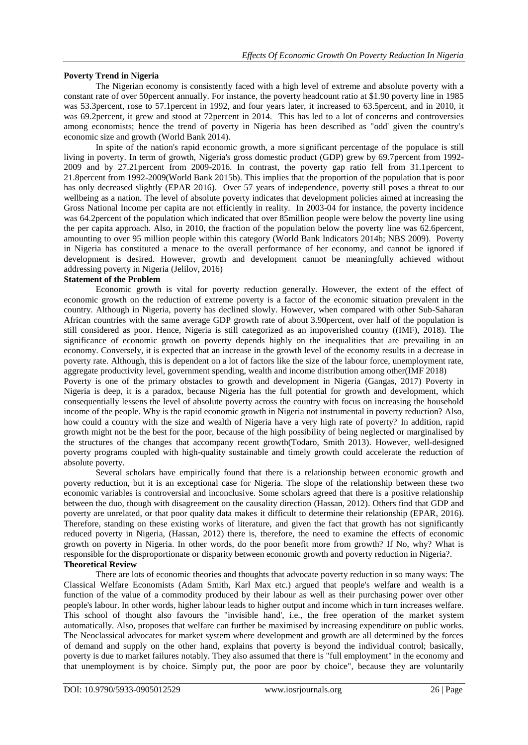# **Poverty Trend in Nigeria**

The Nigerian economy is consistently faced with a high level of extreme and absolute poverty with a constant rate of over 50percent annually. For instance, the poverty headcount ratio at \$1.90 poverty line in 1985 was 53.3percent, rose to 57.1percent in 1992, and four years later, it increased to 63.5percent, and in 2010, it was 69.2 percent, it grew and stood at 72 percent in 2014. This has led to a lot of concerns and controversies among economists; hence the trend of poverty in Nigeria has been described as "odd' given the country's economic size and growth (World Bank 2014).

In spite of the nation's rapid economic growth, a more significant percentage of the populace is still living in poverty. In term of growth, Nigeria's gross domestic product (GDP) grew by 69.7percent from 1992- 2009 and by 27.21percent from 2009-2016. In contrast, the poverty gap ratio fell from 31.1percent to 21.8percent from 1992-2009(World Bank 2015b). This implies that the proportion of the population that is poor has only decreased slightly (EPAR 2016). Over 57 years of independence, poverty still poses a threat to our wellbeing as a nation. The level of absolute poverty indicates that development policies aimed at increasing the Gross National Income per capita are not efficiently in reality. In 2003-04 for instance, the poverty incidence was 64.2percent of the population which indicated that over 85million people were below the poverty line using the per capita approach. Also, in 2010, the fraction of the population below the poverty line was 62.6percent, amounting to over 95 million people within this category (World Bank Indicators 2014b; NBS 2009). Poverty in Nigeria has constituted a menace to the overall performance of her economy, and cannot be ignored if development is desired. However, growth and development cannot be meaningfully achieved without addressing poverty in Nigeria (Jelilov, 2016)

# **Statement of the Problem**

Economic growth is vital for poverty reduction generally. However, the extent of the effect of economic growth on the reduction of extreme poverty is a factor of the economic situation prevalent in the country. Although in Nigeria, poverty has declined slowly. However, when compared with other Sub-Saharan African countries with the same average GDP growth rate of about 3.90percent, over half of the population is still considered as poor. Hence, Nigeria is still categorized as an impoverished country ((IMF), 2018). The significance of economic growth on poverty depends highly on the inequalities that are prevailing in an economy. Conversely, it is expected that an increase in the growth level of the economy results in a decrease in poverty rate. Although, this is dependent on a lot of factors like the size of the labour force, unemployment rate, aggregate productivity level, government spending, wealth and income distribution among other(IMF 2018)

Poverty is one of the primary obstacles to growth and development in Nigeria (Gangas, 2017) Poverty in Nigeria is deep, it is a paradox, because Nigeria has the full potential for growth and development, which consequentially lessens the level of absolute poverty across the country with focus on increasing the household income of the people. Why is the rapid economic growth in Nigeria not instrumental in poverty reduction? Also, how could a country with the size and wealth of Nigeria have a very high rate of poverty? In addition, rapid growth might not be the best for the poor, because of the high possibility of being neglected or marginalised by the structures of the changes that accompany recent growth(Todaro, Smith 2013). However, well-designed poverty programs coupled with high-quality sustainable and timely growth could accelerate the reduction of absolute poverty.

Several scholars have empirically found that there is a relationship between economic growth and poverty reduction, but it is an exceptional case for Nigeria. The slope of the relationship between these two economic variables is controversial and inconclusive. Some scholars agreed that there is a positive relationship between the duo, though with disagreement on the causality direction (Hassan, 2012). Others find that GDP and poverty are unrelated, or that poor quality data makes it difficult to determine their relationship (EPAR, 2016). Therefore, standing on these existing works of literature, and given the fact that growth has not significantly reduced poverty in Nigeria, (Hassan, 2012) there is, therefore, the need to examine the effects of economic growth on poverty in Nigeria. In other words, do the poor benefit more from growth? If No, why? What is responsible for the disproportionate or disparity between economic growth and poverty reduction in Nigeria?. **Theoretical Review**

There are lots of economic theories and thoughts that advocate poverty reduction in so many ways: The Classical Welfare Economists (Adam Smith, Karl Max etc.) argued that people's welfare and wealth is a function of the value of a commodity produced by their labour as well as their purchasing power over other people's labour. In other words, higher labour leads to higher output and income which in turn increases welfare. This school of thought also favours the "invisible hand', i.e., the free operation of the market system automatically. Also, proposes that welfare can further be maximised by increasing expenditure on public works. The Neoclassical advocates for market system where development and growth are all determined by the forces of demand and supply on the other hand, explains that poverty is beyond the individual control; basically, poverty is due to market failures notably. They also assumed that there is "full employment'' in the economy and that unemployment is by choice. Simply put, the poor are poor by choice", because they are voluntarily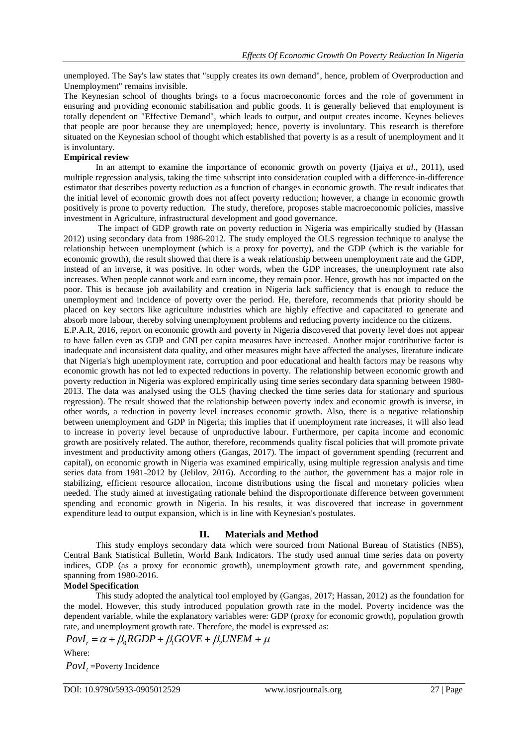unemployed. The Say's law states that "supply creates its own demand", hence, problem of Overproduction and Unemployment" remains invisible.

The Keynesian school of thoughts brings to a focus macroeconomic forces and the role of government in ensuring and providing economic stabilisation and public goods. It is generally believed that employment is totally dependent on "Effective Demand", which leads to output, and output creates income. Keynes believes that people are poor because they are unemployed; hence, poverty is involuntary. This research is therefore situated on the Keynesian school of thought which established that poverty is as a result of unemployment and it is involuntary.

#### **Empirical review**

In an attempt to examine the importance of economic growth on poverty (Ijaiya *et al*., 2011), used multiple regression analysis, taking the time subscript into consideration coupled with a difference-in-difference estimator that describes poverty reduction as a function of changes in economic growth. The result indicates that the initial level of economic growth does not affect poverty reduction; however, a change in economic growth positively is prone to poverty reduction. The study, therefore, proposes stable macroeconomic policies, massive investment in Agriculture, infrastructural development and good governance.

The impact of GDP growth rate on poverty reduction in Nigeria was empirically studied by (Hassan 2012) using secondary data from 1986-2012. The study employed the OLS regression technique to analyse the relationship between unemployment (which is a proxy for poverty), and the GDP (which is the variable for economic growth), the result showed that there is a weak relationship between unemployment rate and the GDP, instead of an inverse, it was positive. In other words, when the GDP increases, the unemployment rate also increases. When people cannot work and earn income, they remain poor. Hence, growth has not impacted on the poor. This is because job availability and creation in Nigeria lack sufficiency that is enough to reduce the unemployment and incidence of poverty over the period. He, therefore, recommends that priority should be placed on key sectors like agriculture industries which are highly effective and capacitated to generate and absorb more labour, thereby solving unemployment problems and reducing poverty incidence on the citizens.

E.P.A.R, 2016, report on economic growth and poverty in Nigeria discovered that poverty level does not appear to have fallen even as GDP and GNI per capita measures have increased. Another major contributive factor is inadequate and inconsistent data quality, and other measures might have affected the analyses, literature indicate that Nigeria's high unemployment rate, corruption and poor educational and health factors may be reasons why economic growth has not led to expected reductions in poverty. The relationship between economic growth and poverty reduction in Nigeria was explored empirically using time series secondary data spanning between 1980- 2013. The data was analysed using the OLS (having checked the time series data for stationary and spurious regression). The result showed that the relationship between poverty index and economic growth is inverse, in other words, a reduction in poverty level increases economic growth. Also, there is a negative relationship between unemployment and GDP in Nigeria; this implies that if unemployment rate increases, it will also lead to increase in poverty level because of unproductive labour. Furthermore, per capita income and economic growth are positively related. The author, therefore, recommends quality fiscal policies that will promote private investment and productivity among others (Gangas, 2017). The impact of government spending (recurrent and capital), on economic growth in Nigeria was examined empirically, using multiple regression analysis and time series data from 1981-2012 by (Jelilov, 2016). According to the author, the government has a major role in stabilizing, efficient resource allocation, income distributions using the fiscal and monetary policies when needed. The study aimed at investigating rationale behind the disproportionate difference between government spending and economic growth in Nigeria. In his results, it was discovered that increase in government expenditure lead to output expansion, which is in line with Keynesian's postulates.

# **II. Materials and Method**

This study employs secondary data which were sourced from National Bureau of Statistics (NBS), Central Bank Statistical Bulletin, World Bank Indicators. The study used annual time series data on poverty indices, GDP (as a proxy for economic growth), unemployment growth rate, and government spending, spanning from 1980-2016.

#### **Model Specification**

This study adopted the analytical tool employed by (Gangas, 2017; Hassan, 2012) as the foundation for the model. However, this study introduced population growth rate in the model. Poverty incidence was the dependent variable, while the explanatory variables were: GDP (proxy for economic growth), population growth rate, and unemployment growth rate. Therefore, the model is expressed as: dependent variable, while the explanatory variables were: GDP (prate, and unemployment growth rate. Therefore, the model is expressed  $PovI_t = \alpha + \beta_0 RGBP + \beta_1 GOVE + \beta_2 UNEM + \mu$ 

$$
PovI_t = \alpha + \beta_0 RGDP + \beta_1 GOVE + \beta_2 UNEM + \mu
$$

Where:

*PovI<sup>t</sup>* =Poverty Incidence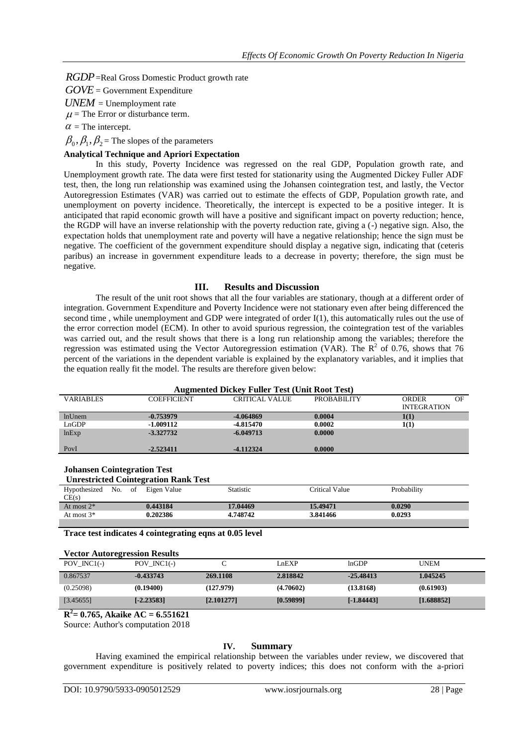*RGDP* =Real Gross Domestic Product growth rate

*GOVE* = Government Expenditure

*UNEM* = Unemployment rate

 $\mu$  = The Error or disturbance term.

 $\alpha$  = The intercept.

 $\beta_0, \beta_1, \beta_2$  = The slopes of the parameters

# **Analytical Technique and Apriori Expectation**

In this study, Poverty Incidence was regressed on the real GDP, Population growth rate, and Unemployment growth rate. The data were first tested for stationarity using the Augmented Dickey Fuller ADF test, then, the long run relationship was examined using the Johansen cointegration test, and lastly, the Vector Autoregression Estimates (VAR) was carried out to estimate the effects of GDP, Population growth rate, and unemployment on poverty incidence. Theoretically, the intercept is expected to be a positive integer. It is anticipated that rapid economic growth will have a positive and significant impact on poverty reduction; hence, the RGDP will have an inverse relationship with the poverty reduction rate, giving a (-) negative sign. Also, the expectation holds that unemployment rate and poverty will have a negative relationship; hence the sign must be negative. The coefficient of the government expenditure should display a negative sign, indicating that (ceteris paribus) an increase in government expenditure leads to a decrease in poverty; therefore, the sign must be negative.

# **III. Results and Discussion**

The result of the unit root shows that all the four variables are stationary, though at a different order of integration. Government Expenditure and Poverty Incidence were not stationary even after being differenced the second time , while unemployment and GDP were integrated of order I(1), this automatically rules out the use of the error correction model (ECM). In other to avoid spurious regression, the cointegration test of the variables was carried out, and the result shows that there is a long run relationship among the variables; therefore the regression was estimated using the Vector Autoregression estimation (VAR). The  $R^2$  of 0.76, shows that 76 percent of the variations in the dependent variable is explained by the explanatory variables, and it implies that the equation really fit the model. The results are therefore given below:

| <b>Augmented Dickey Fuller Test (Unit Root Test)</b> |                    |                |                    |                    |    |  |  |  |
|------------------------------------------------------|--------------------|----------------|--------------------|--------------------|----|--|--|--|
| <b>VARIABLES</b>                                     | <b>COEFFICIENT</b> | CRITICAL VALUE | <b>PROBABILITY</b> | ORDER              | OF |  |  |  |
|                                                      |                    |                |                    | <b>INTEGRATION</b> |    |  |  |  |
| <b>lnUnem</b>                                        | $-0.753979$        | -4.064869      | 0.0004             | 1(1)               |    |  |  |  |
| LnGDP                                                | $-1.009112$        | -4.815470      | 0.0002             | 1(1)               |    |  |  |  |
| lnExp                                                | $-3.327732$        | $-6.049713$    | 0.0000             |                    |    |  |  |  |
|                                                      |                    |                |                    |                    |    |  |  |  |
| PovI                                                 | $-2.523411$        | $-4.112324$    | 0.0000             |                    |    |  |  |  |

#### **Johansen Cointegration Test**

**Unrestricted Cointegration Rank Test**

| Hypothesized  | No. | of | Eigen Value | Statistic | Critical Value | Probability |
|---------------|-----|----|-------------|-----------|----------------|-------------|
| CE(s)         |     |    |             |           |                |             |
| At most $2^*$ |     |    | 0.443184    | 17.04469  | 15.49471       | 0.0290      |
| At most $3^*$ |     |    | 0.202386    | 4.748742  | 3.841466       | 0.0293      |
|               |     |    |             |           |                |             |

**Trace test indicates 4 cointegrating eqns at 0.05 level** 

| <b>Vector Autoregression Results</b> |                            |           |              |             |  |  |  |  |
|--------------------------------------|----------------------------|-----------|--------------|-------------|--|--|--|--|
| POV $INC1(-)$                        | POV $INC1(-)$              | LnEXP     | lnGDP        | <b>UNEM</b> |  |  |  |  |
| 0.867537<br>$-0.433743$              | 269.1108                   | 2.818842  | $-25.48413$  | 1.045245    |  |  |  |  |
| (0.25098)<br>(0.19400)               | (127.979)                  | (4.70602) | (13.8168)    | (0.61903)   |  |  |  |  |
| [3.45655]                            | $[-2.23583]$<br>[2.101277] | [0.59899] | $[-1.84443]$ | [1.688852]  |  |  |  |  |

**R 2 = 0.765, Akaike AC = 6.551621** 

Source: Author's computation 2018

#### **IV. Summary**

Having examined the empirical relationship between the variables under review, we discovered that government expenditure is positively related to poverty indices; this does not conform with the a-priori